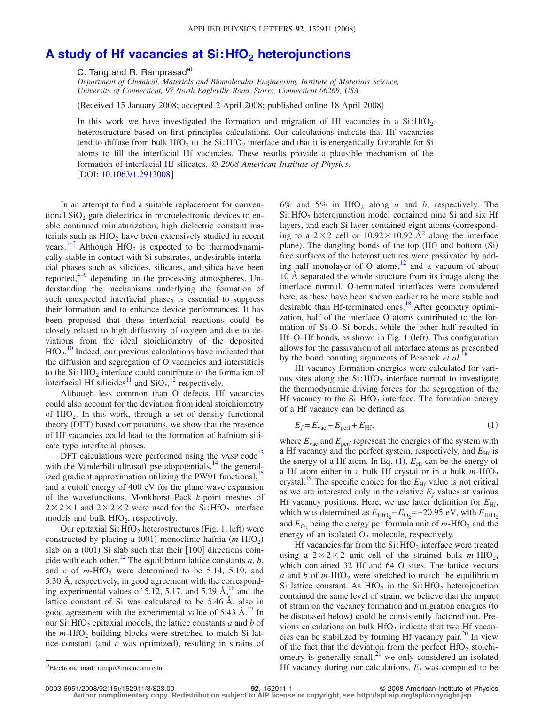## A study of Hf vacancies at Si: HfO<sub>2</sub> heterojunctions

C. Tang and R. Ramprasad<sup>a)</sup>

*Department of Chemical, Materials and Biomolecular Engineering, Institute of Materials Science, University of Connecticut, 97 North Eagleville Road, Storrs, Connecticut 06269, USA*

Received 15 January 2008; accepted 2 April 2008; published online 18 April 2008-

In this work we have investigated the formation and migration of Hf vacancies in a  $Si:HO<sub>2</sub>$ heterostructure based on first principles calculations. Our calculations indicate that Hf vacancies tend to diffuse from bulk  $HfO<sub>2</sub>$  to the Si:HfO<sub>2</sub> interface and that it is energetically favorable for Si atoms to fill the interfacial Hf vacancies. These results provide a plausible mechanism of the formation of interfacial Hf silicates. © *2008 American Institute of Physics*. [DOI: [10.1063/1.2913008](http://dx.doi.org/10.1063/1.2913008)]

In an attempt to find a suitable replacement for conventional  $SiO<sub>2</sub>$  gate dielectrics in microelectronic devices to enable continued miniaturization, high dielectric constant materials such as  $HfO<sub>2</sub>$  have been extensively studied in recent years.<sup>1-[3](#page-2-1)</sup> Although  $HfO<sub>2</sub>$  is expected to be thermodynamically stable in contact with Si substrates, undesirable interfacial phases such as silicides, silicates, and silica have been reported, $4-9$  depending on the processing atmospheres. Understanding the mechanisms underlying the formation of such unexpected interfacial phases is essential to suppress their formation and to enhance device performances. It has been proposed that these interfacial reactions could be closely related to high diffusivity of oxygen and due to deviations from the ideal stoichiometry of the deposited  $HfO<sub>2</sub>$ .<sup>[10](#page-2-4)</sup> Indeed, our previous calculations have indicated that the diffusion and segregation of O vacancies and interstitials to the  $Si$ : HfO<sub>2</sub> interface could contribute to the formation of interfacial Hf silicides<sup>11</sup> and  $SiO<sub>x</sub>$ <sup>[12](#page-2-6)</sup> respectively.

Although less common than O defects, Hf vacancies could also account for the deviation from ideal stoichiometry of  $HfO<sub>2</sub>$ . In this work, through a set of density functional theory (DFT) based computations, we show that the presence of Hf vacancies could lead to the formation of hafnium silicate type interfacial phases.

DFT calculations were performed using the VASP code<sup>13</sup> with the Vanderbilt ultrasoft pseudopotentials, $14$  the generalized gradient approximation utilizing the PW91 functional,<sup>15</sup> and a cutoff energy of 400 eV for the plane wave expansion of the wavefunctions. Monkhorst–Pack *k*-point meshes of  $2 \times 2 \times 1$  and  $2 \times 2 \times 2$  were used for the Si: HfO<sub>2</sub> interface models and bulk  $HfO<sub>2</sub>$ , respectively.

Our epitaxial  $Si$ : HfO<sub>2</sub> heterostructures (Fig. [1,](#page-1-0) left) were constructed by placing a (001) monoclinic hafnia  $(m-HfO<sub>2</sub>)$ slab on a (001) Si slab such that their [100] directions coincide with each other.<sup>12</sup> The equilibrium lattice constants  $a, b$ , and  $c$  of  $m$ -HfO<sub>2</sub> were determined to be 5.14, 5.19, and 5.30 Å, respectively, in good agreement with the corresponding experimental values of 5.12, 5.17, and 5.29  $\AA$ ,<sup>16</sup> and the lattice constant of Si was calculated to be 5.46 Å, also in good agreement with the experimental value of  $5.43 \text{ Å}$ .<sup>17</sup> In our Si: HfO<sub>2</sub> epitaxial models, the lattice constants  $a$  and  $b$  of the  $m$ -HfO<sub>2</sub> building blocks were stretched to match Si lattice constant (and  $c$  was optimized), resulting in strains of

6% and 5% in  $HfO<sub>2</sub>$  along *a* and *b*, respectively. The Si: HfO<sub>2</sub> heterojunction model contained nine Si and six Hf layers, and each Si layer contained eight atoms (corresponding to a  $2\times2$  cell or  $10.92\times10.92$  Å<sup>2</sup> along the interface plane). The dangling bonds of the top (Hf) and bottom (Si) free surfaces of the heterostructures were passivated by adding half monolayer of O atoms, $12$  and a vacuum of about 10 Å separated the whole structure from its image along the interface normal. O-terminated interfaces were considered here, as these have been shown earlier to be more stable and desirable than Hf-terminated ones.<sup>18</sup> After geometry optimization, half of the interface O atoms contributed to the formation of Si–O–Si bonds, while the other half resulted in Hf-O-Hf bonds, as shown in Fig. [1](#page-1-0) (left). This configuration allows for the passivation of all interface atoms as prescribed by the bond counting arguments of Peacock *et al.*<sup>1</sup>

<span id="page-0-1"></span>Hf vacancy formation energies were calculated for various sites along the  $Si: HfO<sub>2</sub>$  interface normal to investigate the thermodynamic driving forces for the segregation of the Hf vacancy to the  $Si:$  HfO<sub>2</sub> interface. The formation energy of a Hf vacancy can be defined as

$$
E_f = E_{\text{vac}} - E_{\text{perf}} + E_{\text{Hf}},\tag{1}
$$

where  $E_{\text{vac}}$  and  $E_{\text{perf}}$  represent the energies of the system with a Hf vacancy and the perfect system, respectively, and  $E_{\text{Hf}}$  is the energy of a Hf atom. In Eq.  $(1)$  $(1)$  $(1)$ ,  $E_{\text{Hf}}$  can be the energy of a Hf atom either in a bulk Hf crystal or in a bulk  $m$ -HfO<sub>2</sub> crystal.<sup>19</sup> The specific choice for the  $E_{\text{Hf}}$  value is not critical as we are interested only in the relative  $E_f$  values at various Hf vacancy positions. Here, we use latter definition for  $E_{\text{Hf}}$ , which was determined as  $E_{\text{HfO}_2} - E_{\text{O}_2} = -20.95 \text{ eV}$ , with  $E_{\text{HfO}_2}$ and  $E_{\text{O}_2}$  being the energy per formula unit of  $m$ -HfO<sub>2</sub> and the energy of an isolated  $O_2$  molecule, respectively.

Hf vacancies far from the  $Si$ : HfO<sub>2</sub> interface were treated using a  $2 \times 2 \times 2$  unit cell of the strained bulk *m*-HfO<sub>2</sub>, which contained 32 Hf and 64 O sites. The lattice vectors *a* and *b* of *m*-HfO<sub>2</sub> were stretched to match the equilibrium Si lattice constant. As  $HfO<sub>2</sub>$  in the Si:  $HfO<sub>2</sub>$  heterojunction contained the same level of strain, we believe that the impact of strain on the vacancy formation and migration energies (to be discussed below) could be consistently factored out. Previous calculations on bulk  $HfO<sub>2</sub>$  indicate that two Hf vacancies can be stabilized by forming Hf vacancy pair. $^{20}$  In view of the fact that the deviation from the perfect  $HfO<sub>2</sub>$  stoichiometry is generally small, $^{21}$  we only considered an isolated Hf vacancy during our calculations.  $E_f$  was computed to be

0003-6951/2008/92(15)/152911/3/\$23.00

**Author complimentary copy. Redistribution subject to AIP license or copyright, see http://apl.aip.org/apl/copyright.jsp**

<span id="page-0-0"></span>Electronic mail: rampi@ims.uconn.edu.

<sup>15</sup>/152911/3/\$23.00 © 2008 American Institute of Physics **92**, 152911-1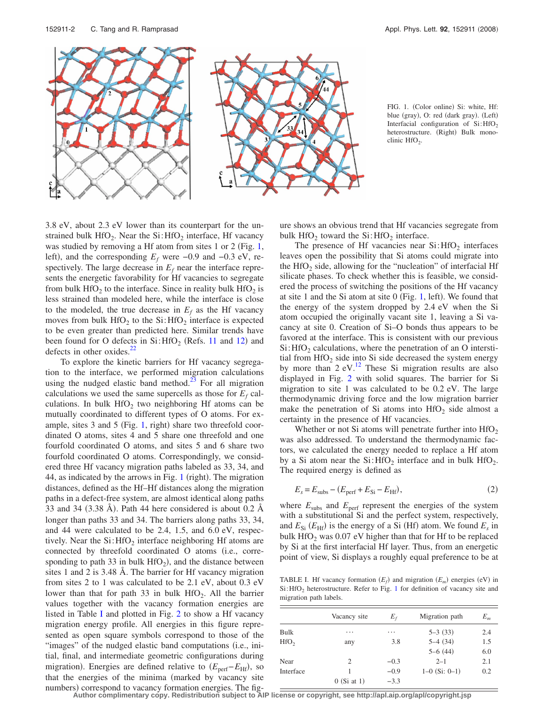<span id="page-1-0"></span>

FIG. 1. (Color online) Si: white, Hf: blue (gray), O: red (dark gray). (Left) Interfacial configuration of  $Si:HfO<sub>2</sub>$ heterostructure. (Right) Bulk monoclinic  $HfO<sub>2</sub>$ .

3.8 eV, about 2.3 eV lower than its counterpart for the unstrained bulk  $HfO<sub>2</sub>$ . Near the Si:  $HfO<sub>2</sub>$  interface, Hf vacancy was studied by removing a Hf atom from sites 1 or 2 (Fig. [1,](#page-1-0) left), and the corresponding  $E_f$  were  $-0.9$  and  $-0.3$  eV, respectively. The large decrease in  $E_f$  near the interface represents the energetic favorability for Hf vacancies to segregate from bulk HfO<sub>2</sub> to the interface. Since in reality bulk HfO<sub>2</sub> is less strained than modeled here, while the interface is close to the modeled, the true decrease in  $E_f$  as the Hf vacancy moves from bulk  $HfO<sub>2</sub>$  to the Si:  $HfO<sub>2</sub>$  interface is expected to be even greater than predicted here. Similar trends have been found for O defects in  $Si: HfO<sub>2</sub>$  (Refs. [11](#page-2-5) and [12](#page-2-6)) and defects in other oxides. $22$ 

To explore the kinetic barriers for Hf vacancy segregation to the interface, we performed migration calculations using the nudged elastic band method.<sup>23</sup> For all migration calculations we used the same supercells as those for  $E_f$  calculations. In bulk  $HfO<sub>2</sub>$  two neighboring Hf atoms can be mutually coordinated to different types of O atoms. For example, sites  $3$  and  $5$  (Fig. [1,](#page-1-0) right) share two threefold coordinated O atoms, sites 4 and 5 share one threefold and one fourfold coordinated O atoms, and sites 5 and 6 share two fourfold coordinated O atoms. Correspondingly, we considered three Hf vacancy migration paths labeled as 33, 34, and 44, as indicated by the arrows in Fig. [1](#page-1-0) (right). The migration distances, defined as the Hf–Hf distances along the migration paths in a defect-free system, are almost identical along paths 33 and 34 (3.38 Å). Path 44 here considered is about 0.2 Å longer than paths 33 and 34. The barriers along paths 33, 34, and 44 were calculated to be 2.4, 1.5, and 6.0 eV, respectively. Near the  $Si: HfO<sub>2</sub>$  interface neighboring Hf atoms are connected by threefold coordinated O atoms (i.e., corresponding to path 33 in bulk  $HfO<sub>2</sub>$ ), and the distance between sites 1 and 2 is 3.48 Å. The barrier for Hf vacancy migration from sites 2 to 1 was calculated to be 2.1 eV, about 0.3 eV lower than that for path 33 in bulk  $HfO<sub>2</sub>$ . All the barrier values together with the vacancy formation energies are listed in Table [I](#page-1-1) and plotted in Fig. [2](#page-2-18) to show a Hf vacancy migration energy profile. All energies in this figure represented as open square symbols correspond to those of the "images" of the nudged elastic band computations (i.e., initial, final, and intermediate geometric configurations during migration). Energies are defined relative to  $(E_{\text{perf}} - E_{\text{Hf}})$ , so that the energies of the minima (marked by vacancy site numbers) correspond to vacancy formation energies. The figure shows an obvious trend that Hf vacancies segregate from bulk  $HfO<sub>2</sub>$  toward the Si:  $HfO<sub>2</sub>$  interface.

The presence of Hf vacancies near  $Si: HfO<sub>2</sub>$  interfaces leaves open the possibility that Si atoms could migrate into the  $HfO<sub>2</sub>$  side, allowing for the "nucleation" of interfacial Hf silicate phases. To check whether this is feasible, we considered the process of switching the positions of the Hf vacancy at site 1 and the Si atom at site  $0$  (Fig. [1,](#page-1-0) left). We found that the energy of the system dropped by 2.4 eV when the Si atom occupied the originally vacant site 1, leaving a Si vacancy at site 0. Creation of Si–O bonds thus appears to be favored at the interface. This is consistent with our previous  $Si:$  HfO<sub>2</sub> calculations, where the penetration of an O interstitial from  $HfO<sub>2</sub>$  side into Si side decreased the system energy by more than  $2 \text{ eV}$ .<sup>12</sup> These Si migration results are also displayed in Fig. [2](#page-2-18) with solid squares. The barrier for Si migration to site 1 was calculated to be 0.2 eV. The large thermodynamic driving force and the low migration barrier make the penetration of Si atoms into  $HfO<sub>2</sub>$  side almost a certainty in the presence of Hf vacancies.

Whether or not Si atoms will penetrate further into  $HfO<sub>2</sub>$ was also addressed. To understand the thermodynamic factors, we calculated the energy needed to replace a Hf atom by a Si atom near the  $Si: HfO<sub>2</sub>$  interface and in bulk  $HfO<sub>2</sub>$ . The required energy is defined as

$$
E_s = E_{\text{subs}} - (E_{\text{perf}} + E_{\text{Si}} - E_{\text{Hf}}),\tag{2}
$$

where  $E_{\text{subs}}$  and  $E_{\text{perf}}$  represent the energies of the system with a substitutional Si and the perfect system, respectively, and  $E_{\text{Si}}$  ( $E_{\text{Hf}}$ ) is the energy of a Si (Hf) atom. We found  $E_s$  in bulk  $HfO<sub>2</sub>$  was 0.07 eV higher than that for Hf to be replaced by Si at the first interfacial Hf layer. Thus, from an energetic point of view, Si displays a roughly equal preference to be at

<span id="page-1-1"></span>TABLE I. Hf vacancy formation  $(E_f)$  and migration  $(E_m)$  energies (eV) in  $Si: HfO<sub>2</sub>$  heterostructure. Refer to Fig. [1](#page-1-0) for definition of vacancy site and migration path labels.

|                  | Vacancy site  | $E_{\rm f}$ | Migration path  | $E_m$ |
|------------------|---------------|-------------|-----------------|-------|
| Bulk             | .             | .           | $5 - 3(33)$     | 2.4   |
| HfO <sub>2</sub> | any           | 3.8         | $5-4(34)$       | 1.5   |
|                  |               |             | $5-6(44)$       | 6.0   |
| Near             | 2             | $-0.3$      | $2 - 1$         | 2.1   |
| Interface        |               | $-0.9$      | $1-0$ (Si: 0-1) | 0.2   |
|                  | $0$ (Si at 1) | $-3.3$      |                 |       |

**Author complimentary copy. Redistribution subject to AIP license or copyright, see http://apl.aip.org/apl/copyright.jsp**